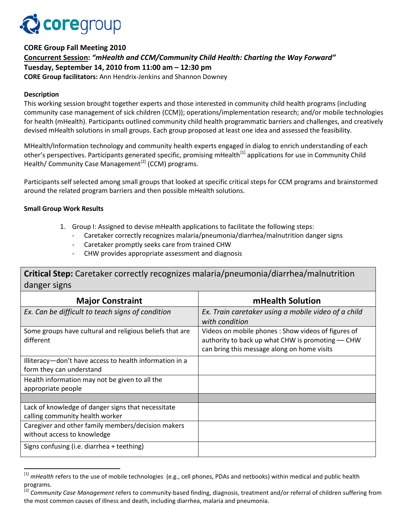

**CORE Group Fall Meeting 2010 Concurrent Session:** *"mHealth and CCM/Community Child Health: Charting the Way Forward"* **Tuesday, September 14, 2010 from 11:00 am – 12:30 pm CORE Group facilitators:** Ann Hendrix-Jenkins and Shannon Downey

### **Description**

This working session brought together experts and those interested in community child health programs (including community case management of sick children (CCM)); operations/implementation research; and/or mobile technologies for health (mHealth). Participants outlined community child health programmatic barriers and challenges, and creatively devised mHealth solutions in small groups. Each group proposed at least one idea and assessed the feasibility.

MHealth/Information technology and community health experts engaged in dialog to enrich understanding of each other's perspectives. Participants generated specific, promising mHealth<sup>[\[1\]](#page-0-0)</sup> applications for use in Community Child Health/ Community Case Management<sup>[\[2\]](#page-0-1)</sup> (CCM) programs.

Participants self selected among small groups that looked at specific critical steps for CCM programs and brainstormed around the related program barriers and then possible mHealth solutions.

### **Small Group Work Results**

l

- 1. Group I: Assigned to devise mHealth applications to facilitate the following steps:
	- Caretaker correctly recognizes malaria/pneumonia/diarrhea/malnutrition danger signs
	- Caretaker promptly seeks care from trained CHW
	- CHW provides appropriate assessment and diagnosis

**Critical Step:** Caretaker correctly recognizes malaria/pneumonia/diarrhea/malnutrition danger signs

| <b>Major Constraint</b>                                  | mHealth Solution                                    |
|----------------------------------------------------------|-----------------------------------------------------|
| Ex. Can be difficult to teach signs of condition         | Ex. Train caretaker using a mobile video of a child |
|                                                          | with condition                                      |
| Some groups have cultural and religious beliefs that are | Videos on mobile phones: Show videos of figures of  |
| different                                                | authority to back up what CHW is promoting - CHW    |
|                                                          | can bring this message along on home visits         |
| Illiteracy-don't have access to health information in a  |                                                     |
| form they can understand                                 |                                                     |
| Health information may not be given to all the           |                                                     |
| appropriate people                                       |                                                     |
|                                                          |                                                     |
| Lack of knowledge of danger signs that necessitate       |                                                     |
| calling community health worker                          |                                                     |
| Caregiver and other family members/decision makers       |                                                     |
| without access to knowledge                              |                                                     |
| Signs confusing (i.e. diarrhea + teething)               |                                                     |

<span id="page-0-0"></span><sup>&</sup>lt;sup>[1]</sup> *mHealth* refers to the use of mobile technologies (e.g., cell phones, PDAs and netbooks) within medical and public health programs.

<span id="page-0-1"></span><sup>[2]</sup> *Community Case Management* refers to community-based finding, diagnosis, treatment and/or referral of children suffering from the most common causes of illness and death, including diarrhea, malaria and pneumonia.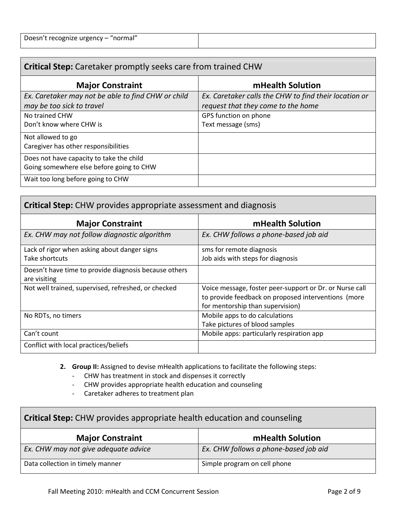| Doesn't recognize urgency - "normal" |  |
|--------------------------------------|--|
|                                      |  |

# **Critical Step:** Caretaker promptly seeks care from trained CHW

| <b>Major Constraint</b>                            | mHealth Solution                                      |
|----------------------------------------------------|-------------------------------------------------------|
| Ex. Caretaker may not be able to find CHW or child | Ex. Caretaker calls the CHW to find their location or |
| may be too sick to travel                          | request that they come to the home                    |
| No trained CHW                                     | GPS function on phone                                 |
| Don't know where CHW is                            | Text message (sms)                                    |
| Not allowed to go                                  |                                                       |
| Caregiver has other responsibilities               |                                                       |
| Does not have capacity to take the child           |                                                       |
| Going somewhere else before going to CHW           |                                                       |
| Wait too long before going to CHW                  |                                                       |

| <b>Critical Step:</b> CHW provides appropriate assessment and diagnosis |                                                         |  |
|-------------------------------------------------------------------------|---------------------------------------------------------|--|
| <b>Major Constraint</b>                                                 | mHealth Solution                                        |  |
| Ex. CHW may not follow diagnostic algorithm                             | Ex. CHW follows a phone-based job aid                   |  |
| Lack of rigor when asking about danger signs                            | sms for remote diagnosis                                |  |
| Take shortcuts                                                          | Job aids with steps for diagnosis                       |  |
| Doesn't have time to provide diagnosis because others                   |                                                         |  |
| are visiting                                                            |                                                         |  |
| Not well trained, supervised, refreshed, or checked                     | Voice message, foster peer-support or Dr. or Nurse call |  |
|                                                                         | to provide feedback on proposed interventions (more     |  |
|                                                                         | for mentorship than supervision)                        |  |
| No RDTs, no timers                                                      | Mobile apps to do calculations                          |  |
|                                                                         | Take pictures of blood samples                          |  |
| Can't count                                                             | Mobile apps: particularly respiration app               |  |
| Conflict with local practices/beliefs                                   |                                                         |  |

**2. Group II:** Assigned to devise mHealth applications to facilitate the following steps:

- CHW has treatment in stock and dispenses it correctly

- CHW provides appropriate health education and counseling

- Caretaker adheres to treatment plan

# **Critical Step:** CHW provides appropriate health education and counseling

| <b>Major Constraint</b>              | mHealth Solution                      |
|--------------------------------------|---------------------------------------|
| Ex. CHW may not give adequate advice | Ex. CHW follows a phone-based job aid |
| Data collection in timely manner     | Simple program on cell phone          |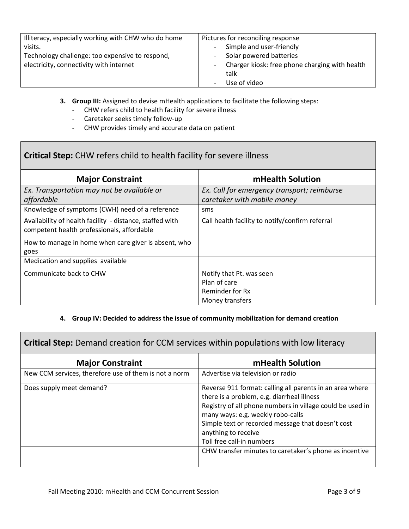| Illiteracy, especially working with CHW who do home | Pictures for reconciling response              |
|-----------------------------------------------------|------------------------------------------------|
| visits.                                             | Simple and user-friendly                       |
| Technology challenge: too expensive to respond,     | Solar powered batteries                        |
| electricity, connectivity with internet             | Charger kiosk: free phone charging with health |
|                                                     | talk                                           |
|                                                     | Use of video                                   |

- **3. Group III:** Assigned to devise mHealth applications to facilitate the following steps:
	- CHW refers child to health facility for severe illness
	- Caretaker seeks timely follow-up
	- CHW provides timely and accurate data on patient

# **Critical Step:** CHW refers child to health facility for severe illness

| <b>Major Constraint</b>                                                                                | mHealth Solution                                |
|--------------------------------------------------------------------------------------------------------|-------------------------------------------------|
| Ex. Transportation may not be available or                                                             | Ex. Call for emergency transport; reimburse     |
| affordable                                                                                             | caretaker with mobile money                     |
| Knowledge of symptoms (CWH) need of a reference                                                        | sms                                             |
| Availability of health facility - distance, staffed with<br>competent health professionals, affordable | Call health facility to notify/confirm referral |
| How to manage in home when care giver is absent, who                                                   |                                                 |
| goes                                                                                                   |                                                 |
| Medication and supplies available                                                                      |                                                 |
| Communicate back to CHW                                                                                | Notify that Pt. was seen                        |
|                                                                                                        | Plan of care                                    |
|                                                                                                        | Reminder for Rx                                 |
|                                                                                                        | Money transfers                                 |

### **4. Group IV: Decided to address the issue of community mobilization for demand creation**

**Critical Step:** Demand creation for CCM services within populations with low literacy

| <b>Major Constraint</b>                               | mHealth Solution                                                                                                                                                                                                                                                                                                  |
|-------------------------------------------------------|-------------------------------------------------------------------------------------------------------------------------------------------------------------------------------------------------------------------------------------------------------------------------------------------------------------------|
| New CCM services, therefore use of them is not a norm | Advertise via television or radio                                                                                                                                                                                                                                                                                 |
| Does supply meet demand?                              | Reverse 911 format: calling all parents in an area where<br>there is a problem, e.g. diarrheal illness<br>Registry of all phone numbers in village could be used in<br>many ways: e.g. weekly robo-calls<br>Simple text or recorded message that doesn't cost<br>anything to receive<br>Toll free call-in numbers |
|                                                       | CHW transfer minutes to caretaker's phone as incentive                                                                                                                                                                                                                                                            |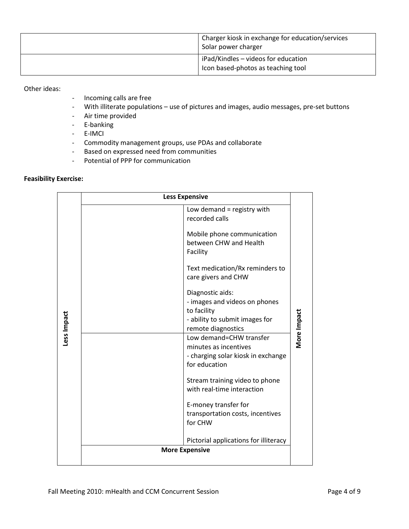| Charger kiosk in exchange for education/services<br>Solar power charger   |
|---------------------------------------------------------------------------|
| iPad/Kindles - videos for education<br>Icon based-photos as teaching tool |

### Other ideas:

- Incoming calls are free
- With illiterate populations use of pictures and images, audio messages, pre-set buttons
- Air time provided
- E-banking
- E-IMCI
- Commodity management groups, use PDAs and collaborate
- Based on expressed need from communities
- Potential of PPP for communication

### **Feasibility Exercise:**

|             | <b>Less Expensive</b>                                                                                                         |             |
|-------------|-------------------------------------------------------------------------------------------------------------------------------|-------------|
|             | Low demand $=$ registry with<br>recorded calls                                                                                |             |
|             | Mobile phone communication<br>between CHW and Health<br>Facility                                                              |             |
|             | Text medication/Rx reminders to<br>care givers and CHW                                                                        |             |
|             | Diagnostic aids:<br>- images and videos on phones<br>to facility<br>- ability to submit images for                            |             |
| Less Impact | remote diagnostics<br>Low demand=CHW transfer<br>minutes as incentives<br>- charging solar kiosk in exchange<br>for education | More Impact |
|             | Stream training video to phone<br>with real-time interaction                                                                  |             |
|             | E-money transfer for<br>transportation costs, incentives<br>for CHW                                                           |             |
|             | Pictorial applications for illiteracy                                                                                         |             |
|             | <b>More Expensive</b>                                                                                                         |             |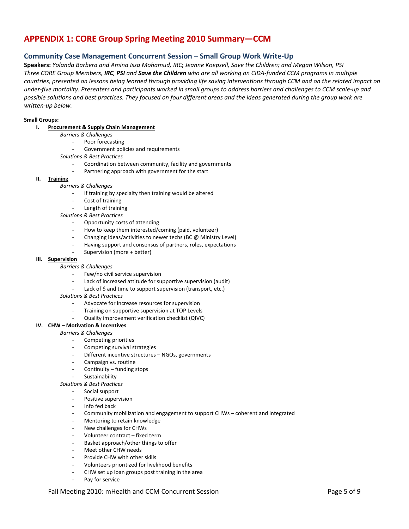# **APPENDIX 1: CORE Group Spring Meeting 2010 Summary—CCM**

### **Community Case Management Concurrent Session** *–* **Small Group Work Write-Up**

**Speakers:** *Yolanda Barbera and Amina Issa Mohamud, IRC***;** *Jeanne Koepsell, Save the Children; and Megan Wilson, PSI Three CORE Group Members, IRC, PSI and Save the Children who are all working on CIDA-funded CCM programs in multiple countries, presented on lessons being learned through providing life saving interventions through CCM and on the related impact on under-five mortality. Presenters and participants worked in small groups to address barriers and challenges to CCM scale-up and possible solutions and best practices. They focused on four different areas and the ideas generated during the group work are written-up below.*

#### **Small Groups:**

- **I. Procurement & Supply Chain Management**
	- *Barriers & Challenges*
		- Poor forecasting
		- Government policies and requirements
	- *Solutions & Best Practices*
		- Coordination between community, facility and governments
		- Partnering approach with government for the start
- **II. Training**
	- *Barriers & Challenges*
		- If training by specialty then training would be altered
		- Cost of training
		- Length of training
	- *Solutions & Best Practices*
		- Opportunity costs of attending
		- How to keep them interested/coming (paid, volunteer)
		- Changing ideas/activities to newer techs (BC @ Ministry Level)
		- Having support and consensus of partners, roles, expectations
		- Supervision (more + better)

#### **III. Supervision**

#### *Barriers & Challenges*

- Few/no civil service supervision
- Lack of increased attitude for supportive supervision (audit)
- Lack of \$ and time to support supervision (transport, etc.)

#### *Solutions & Best Practices*

- Advocate for increase resources for supervision
- Training on supportive supervision at TOP Levels
- Quality improvement verification checklist (QIVC)

#### **IV. CHW – Motivation & Incentives**

- *Barriers & Challenges*
	- Competing priorities
	- Competing survival strategies
	- Different incentive structures NGOs, governments
	- Campaign vs. routine
	- Continuity funding stops
	- Sustainability

#### *Solutions & Best Practices*

- Social support
- Positive supervision
- Info fed back
- Community mobilization and engagement to support CHWs coherent and integrated
- Mentoring to retain knowledge
- New challenges for CHWs
- Volunteer contract fixed term
- Basket approach/other things to offer
- Meet other CHW needs
- Provide CHW with other skills
- Volunteers prioritized for livelihood benefits
- CHW set up loan groups post training in the area
- Pay for service

#### Fall Meeting 2010: mHealth and CCM Concurrent Session **Page 5 of 9** Page 5 of 9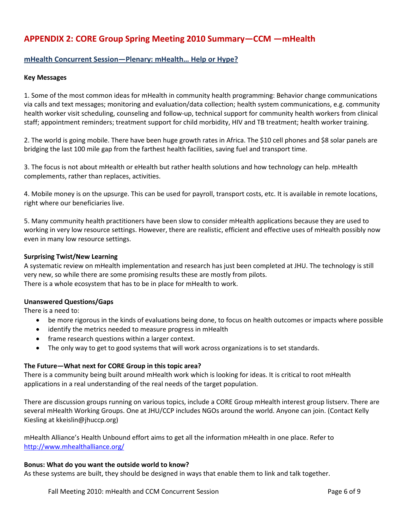# **APPENDIX 2: CORE Group Spring Meeting 2010 Summary—CCM —mHealth**

### **mHealth Concurrent Session—Plenary: mHealth… Help or Hype?**

#### **Key Messages**

1. Some of the most common ideas for mHealth in community health programming: Behavior change communications via calls and text messages; monitoring and evaluation/data collection; health system communications, e.g. community health worker visit scheduling, counseling and follow-up, technical support for community health workers from clinical staff; appointment reminders; treatment support for child morbidity, HIV and TB treatment; health worker training.

2. The world is going mobile. There have been huge growth rates in Africa. The \$10 cell phones and \$8 solar panels are bridging the last 100 mile gap from the farthest health facilities, saving fuel and transport time.

3. The focus is not about mHealth or eHealth but rather health solutions and how technology can help. mHealth complements, rather than replaces, activities.

4. Mobile money is on the upsurge. This can be used for payroll, transport costs, etc. It is available in remote locations, right where our beneficiaries live.

5. Many community health practitioners have been slow to consider mHealth applications because they are used to working in very low resource settings. However, there are realistic, efficient and effective uses of mHealth possibly now even in many low resource settings.

#### **Surprising Twist/New Learning**

A systematic review on mHealth implementation and research has just been completed at JHU. The technology is still very new, so while there are some promising results these are mostly from pilots. There is a whole ecosystem that has to be in place for mHealth to work.

#### **Unanswered Questions/Gaps**

There is a need to:

- be more rigorous in the kinds of evaluations being done, to focus on health outcomes or impacts where possible
- identify the metrics needed to measure progress in mHealth
- frame research questions within a larger context.
- The only way to get to good systems that will work across organizations is to set standards.

#### **The Future—What next for CORE Group in this topic area?**

There is a community being built around mHealth work which is looking for ideas. It is critical to root mHealth applications in a real understanding of the real needs of the target population.

There are discussion groups running on various topics, include a CORE Group mHealth interest group listserv. There are several mHealth Working Groups. One at JHU/CCP includes NGOs around the world. Anyone can join. (Contact Kelly Kiesling at kkeislin@jhuccp.org)

mHealth Alliance's Health Unbound effort aims to get all the information mHealth in one place. Refer to <http://www.mhealthalliance.org/>

#### **Bonus: What do you want the outside world to know?**

As these systems are built, they should be designed in ways that enable them to link and talk together.

Fall Meeting 2010: mHealth and CCM Concurrent Session **Page 6 of 9** Page 6 of 9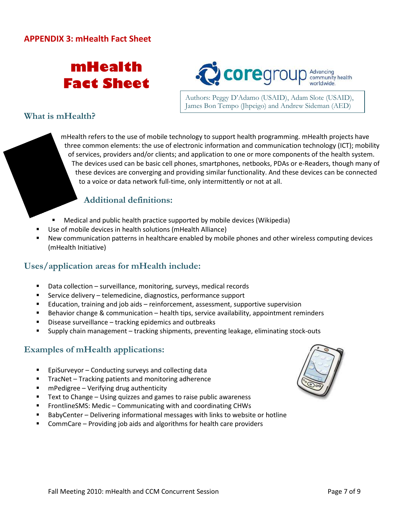# **mHealth Fact Sheet**



Authors: Peggy D'Adamo (USAID), Adam Slote (USAID), James Bon Tempo (Jhpeigo) and Andrew Sideman (AED)

# **What is mHealth?**

mHealth refers to the use of mobile technology to support health programming. mHealth projects have three common elements: the use of electronic information and communication technology (ICT); mobility of services, providers and/or clients; and application to one or more components of the health system. The devices used can be basic cell phones, smartphones, netbooks, PDAs or e-Readers, though many of these devices are converging and providing similar functionality. And these devices can be connected to a voice or data network full-time, only intermittently or not at all.

# **Additional definitions:**

- Medical and public health practice supported by mobile devices (Wikipedia)
- Use of mobile devices in health solutions (mHealth Alliance)
- New communication patterns in healthcare enabled by mobile phones and other wireless computing devices (mHealth Initiative)

# **Uses/application areas for mHealth include:**

- Data collection surveillance, monitoring, surveys, medical records
- Service delivery telemedicine, diagnostics, performance support
- Education, training and job aids reinforcement, assessment, supportive supervision
- Behavior change & communication health tips, service availability, appointment reminders
- Disease surveillance tracking epidemics and outbreaks
- Supply chain management tracking shipments, preventing leakage, eliminating stock-outs

# **Examples of mHealth applications:**

- EpiSurveyor Conducting surveys and collecting data
- TracNet Tracking patients and monitoring adherence
- mPedigree Verifying drug authenticity
- Text to Change Using quizzes and games to raise public awareness
- FrontlineSMS: Medic Communicating with and coordinating CHWs
- BabyCenter Delivering informational messages with links to website or hotline
- CommCare Providing job aids and algorithms for health care providers

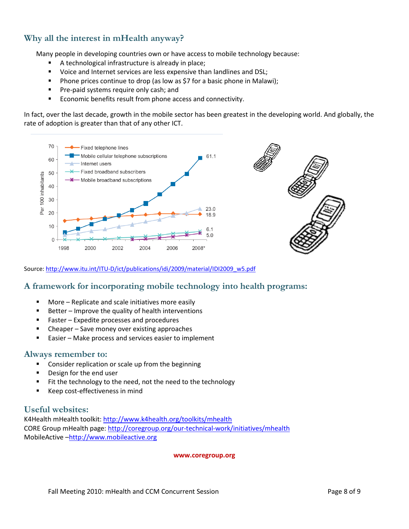# **Why all the interest in mHealth anyway?**

Many people in developing countries own or have access to mobile technology because:

- A technological infrastructure is already in place;
- Uoice and Internet services are less expensive than landlines and DSL;
- **Phone prices continue to drop (as low as \$7 for a basic phone in Malawi);**
- **Pre-paid systems require only cash; and**
- **Economic benefits result from phone access and connectivity.**

In fact, over the last decade, growth in the mobile sector has been greatest in the developing world. And globally, the rate of adoption is greater than that of any other ICT.



Source[: http://www.itu.int/ITU-D/ict/publications/idi/2009/material/IDI2009\\_w5.pdf](http://www.itu.int/ITU-D/ict/publications/idi/2009/material/IDI2009_w5.pdf)

### **A framework for incorporating mobile technology into health programs:**

- **More Replicate and scale initiatives more easily**
- Better Improve the quality of health interventions
- Faster Expedite processes and procedures
- Cheaper Save money over existing approaches
- Easier Make process and services easier to implement

### **Always remember to:**

- **EXED:** Consider replication or scale up from the beginning
- Design for the end user
- Fit the technology to the need, not the need to the technology
- Keep cost-effectiveness in mind

### **Useful websites:**

K4Health mHealth toolkit[: http://www.k4health.org/toolkits/mhealth](http://www.k4health.org/toolkits/mhealth) CORE Group mHealth page[: http://coregroup.org/our-technical-work/initiatives/mhealth](http://coregroup.org/our-technical-work/initiatives/mhealth) MobileActive [–http://www.mobileactive.org](http://www.mobileactive.org/)

#### **www.coregroup.org**